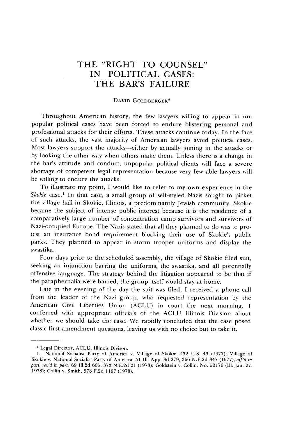## THE "RIGHT TO **COUNSEL"** IN POLITICAL **CASES:** THE BAR'S **FAILURE**

## **DAVID GOLDBERGER\***

Throughout American history, the few lawyers willing to appear in unpopular political cases have been forced to endure blistering personal and professional attacks for their efforts. These attacks continue today. In the face of such attacks, the vast majority of American lawyers avoid political cases. Most lawyers support the attacks—either by actually joining in the attacks or by looking the other way when others make them. Unless there is a change in the bar's attitude and conduct, unpopular political clients will face a severe shortage of competent legal representation because very few able lawyers will be willing to endure the attacks.

To illustrate my point, I would like to refer to my own experience in the Skokie case.<sup>1</sup> In that case, a small group of self-styled Nazis sought to picket the village hall in Skokie, Illinois, a predominantly Jewish community. Skokie became the subject of intense public interest because it is the residence of a comparatively large number of concentration camp survivors and survivors of Nazi-occupied Europe. The Nazis stated that all they planned to do was to protest an insurance bond requirement blocking their use of Skokie's public parks. They planned to appear in storm trooper uniforms and display the swastika.

Four days prior to the scheduled assembly, the village of Skokie filed suit, seeking an injunction barring the uniforms, the swastika, and all potentially offensive language. The strategy behind the litigation appeared to be that if the paraphernalia were barred, the group itself would stay at home.

Late in the evening of the day the suit was filed, I received a phone call from the leader of the Nazi group, who requested representation by the American Civil Liberties Union (ACLU) in court the next morning. I conferred with appropriate officials of the ACLU Illinois Division about whether we should take the case. We rapidly concluded that the case posed classic first amendment questions, leaving us with no choice but to take it.

**<sup>\*</sup>** Legal Director, **ACLU,** Illinois Divison.

<sup>1.</sup> National Socialist Party of America v. Village of Skokie, 432 U.S. 43 (1977); Village of Skokie v. National Socialist Party of America, 51 Ill. App. 3d 279, 366 N.E.2d 347 (1977), *aff'd in part, rev'd* in part, 69 1ll.2d 605, 373 N.E.2d 21 (1978); Goldstein v. Collin, No. 50176 (Il. Jan. 27. 1978); Collin v. Smith, 578 F.2d 1197 (1978).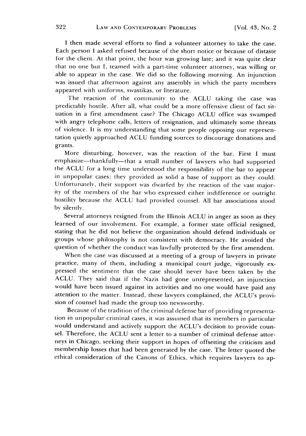I then made several efforts to find a volunteer attorney to take the case. Each person I asked refused because of the short notice or because of distaste for the client. At that point, the hour was growing late; and it was quite clear that no one but **1,** teamed with a part-time volunteer attorney, was willing or able to appear in the case. We did so the following morning. An injunction was issued that afternoon against any assembly in which the party members appeared with uniforms, swastikas, or literature.

The reaction of the community to the ACLU taking the case was predictably hostile. After all, what could be a more offensive client of fact situation in a first amendment case? The Chicago ACLU office was swamped with angry telephone calls, letters of resignation, and ultimately some threats of violence. It is my understanding that some people opposing our representation quietly approached ACLU funding sources to discourage donations and grants.

More disturbing, however, was the reaction of the bar. First I must emphasize-thankfully-that a small number of lawyers who had supported the ACLU for a long time understood the responsibility of the bar to appear in unpopular cases: they provided as solid a base of support as they could. Unfortunately, their support was dwarfed by the reaction of the vast majority of the members of the bar who expressed either indifference or outright hostility because the ACLU had provided counsel. All bar associations stood by silently.

Several attorneys resigned from the Illinois ACLU in anger as soon as they learned of our involvement. For example, a former state official resigned, stating that he did not believe the organization should defend individuals or groups whose philosophy is not consistent with democracy. He avoided the question of whether the conduct was lawfully protected by the first amendent.

When the case was discussed at a meeting of a group of lawyers in private practice, many of them, including a municipal court judge, vigorously expressed the sentiment that the case should never have been taken by the ACLU. They said that if the Nazis had gone unrepresented, an injunction would have been issued against its activities and no one would have paid any attention to the matter. Instead, these lawyers complained, the ACLU's provision of counsel had made the group too newsworthy.

Because of the tradition of the criminal defense bar of providing representation in unpopular criminal cases, it was assumed that its members in particular would understand and actively support the ACLU's decision to provide counsel. Therefore, the ACLU sent a letter to a number of criminal defense attorneys in Chicago, seeking their support in hopes of offsetting the criticism and membership losses that had been generated by the case. The letter quoted the ethical consideration of the Canons of Ethics, which requires lawyers to ap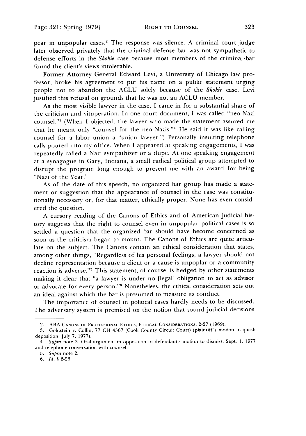pear in unpopular cases.<sup>2</sup> The response was silence. A criminal court judge later observed privately that the criminal defense bar was not sympathetic to defense efforts in the *Skokie* case because most members of the criminal bar found the client's views intolerable.

Former Attorney General Edward Levi, a University of Chicago law professor, broke his agreement to put his name on a public statement urging people not to abandon the ACLU solely because of the *Skokie* case. Levi justified this refusal on grounds that he was not an ACLU member.

As the most visible lawyer in the case, I came in for a substantial share of the criticism and vituperation. In one court document, I was called "neo-Nazi counsel."' (When I objected, the lawyer who made the statement assured me that he meant only "counsel for the neo-Nazis."<sup>4</sup> He said it was like calling counsel for a labor union a "union lawyer.") Personally insulting telephone calls poured into my office. When I appeared at speaking engagements, I was repeatedly called a Nazi sympathizer or a dupe. At one speaking engagement at a synagogue in Gary, Indiana, a small radical political group attempted to disrupt the program long enough to present me with an award for being "Nazi of the Year."

As of the date of this speech, no organized bar group has made a statement or suggestion that the appearance of counsel in the case was constitutionally necessary or, for that matter, ethically proper. None has even considered the question.

A cursory reading of the Canons of Ethics and of American judicial history suggests that the right to counsel even in unpopular political cases is so settled a question that the organized bar should have become concerned as soon as the criticism began to mount. The Canons of Ethics are quite articulate on the subject. The Canons contain an ethical consideration that states, among other things, "Regardless of his personal feelings, a lawyer should not decline representation because a client or a cause is unpoplar or a community reaction is adverse."5 This statement, of course, is hedged by other statements making it clear that "a lawyer is under no [legal] obligation to act as advisor or advocate for every person."<sup>6</sup> Nonetheless, the ethical consideration sets out an ideal against which the bar is presumed to measure its conduct.

The importance of counsel in political cases hardly needs to be discussed. The adversary system is premised on the notion that sound judicial decisions

<sup>2.</sup> ABA **CANONS** OF **PROFESSIONAL** ETHICS, **ETHICAL** CONSIDERATIONS, **2-27** (1969).

<sup>3.</sup> Goldstein **v.** Collin, 77 CH 4367 (Cook County Circuit Court) (plaintiff's motion to quash deposition, July 7, 1977).

<sup>4.</sup> Supra note 3. Oral argument in opposition to defendant's motion to dismiss, Sept. **1,** 1977 and telephone conversation with counsel.

**<sup>5.</sup>** *Supra* note 2.

*<sup>6.</sup> Id.* § 2-26.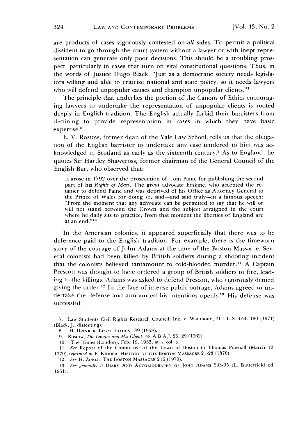are products of cases vigorously contested on *all* sides. To permit a political dissident to go through the court system without a lawyer or with inept representation can generate only poor decisions. This should be a troubling prospect, particularly in cases that turn on vital constitutional questions. Thus, in the words of Justice Hugo Black, "Just as a democratic society needs legislators willing and able to criticize national and state policy, so it needs lawyers who will defend unpopular causes and champion unpopular clients."<sup>7</sup>

The principle that underlies the portion of the Canons of Ethics encouraging lawyers to undertake the representation of unpopular clients is rooted deeply in English tradition. The English actually forbid their barristers from declining to provide representation in cases in which they have basic expertise.<sup>8</sup>

E. V. Rostow, former dean of the Yale Law School, tells us that the obligation of the English barrister to undertake any case tendered to him was acknowledged in Scotland as early as the sixteenth century.<sup>9</sup> As to England, he quotes Sir Hartley Shawcross, former chairman of the General Council of the English Bar, who observed that:

It arose in 1792 over the prosecution of Tom Paine for publishing the second part of his *Rights of Man.* The great advocate Erskine, who accepted the retainer to defend Paine and was deprived of his Office as Attorney General to the Prince of Wales for doing so, said-and said truly-in a famous speech: "From the moment that any advocate can be permitted to say that he will or will not stand between the Crown and the subject arraigned in the court where he daily sits to practice, from that moment the liberties of England are at an end."<sup>10</sup>

In the American colonies, it appeared superficially that there was to be deference paid to the English tradition. For example, there is the timeworn story of the courage of John Adams at the time of the Boston Massacre. Several colonists had been killed by British soldiers during a shooting incident that the colonists believed tantamount to cold-blooded murder."1 A Captain Prescott was thought to have ordered a group of British soldiers to fire, leading to the killings. Adams was asked to defend Prescott, who vigorously denied giving the order.<sup>12</sup> In the face of intense public outrage, Adams agreed to undertake the defense and announced his intentions openly.<sup>13</sup> His defense was successful.

<sup>7.</sup> Law Students Civil Rights Research Council, Inc. **v.** Wadmond, 401 U.S. 154. 180 (1971) (Black, J., dissenting).

**<sup>8.</sup>** H. **DRINKER, LEGAL ETHICS** 139 (1953).

<sup>9.</sup> Rostow, The Lawyer and His *Client,* 48 A.B.A.J. 25, 29 (1962).

**<sup>10.</sup>** The Times (London), Feb. **19,** 1953, at 4, col. 3.

**<sup>11.</sup>** See Report of the Committee of the Town of Boston to Thomas Pownall (March 12, 1770), reprinted in F. **KIDDER,** HISTORY OF **THE BOSTON MASSACRE 21-23** (1870).

<sup>12.</sup> See H. ZOBEL, THE **BOSTON MASSACRE 216** (1970).

<sup>13.</sup> See generali, 3 DIARY AND AUTOBIOGRAPHY OF **JOHN** ADAMS 293-95 (L. Butterfield ed. **1961).**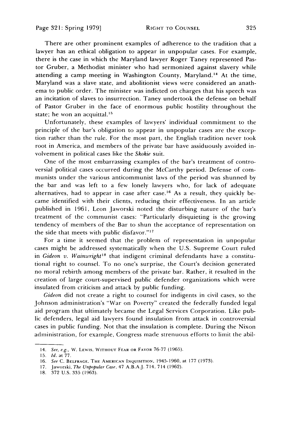There are other prominent examples of adherence to the tradition that a lawyer has an ethical obligation to appear in unpopular cases. For example, there is the case in which the Maryland lawyer Roger Taney represented Pastor Gruber, a Methodist minister who had sermonized against slavery while attending a camp meeting in Washington County, Maryland.<sup>14</sup> At the time, Maryland was a slave state, and abolitionist views were considered an anathema to public order. The minister was indicted on charges that his speech was an incitation of slaves to insurrection. Taney undertook the defense on behalf of Pastor Gruber in the face of enormous public hostility throughout the state; he won an acquittal. $15$ 

Unfortunately, these examples of lawyers' individual commitment to the principle of the bar's obligation to appear in unpopular cases are the exception rather than the rule. For the most part, the English tradition never took root in America, and members of the private bar have assiduously avoided involvement in political cases like the *Skokie* suit.

One of the most embarrassing examples of the bar's treatment of controversial political cases occurred during the McCarthy period. Defense of communists under the various anticommunist laws of the period was shunned by the bar and was left to a few lonely lawyers who, for lack of adequate alternatives, had to appear in case after case.<sup>16</sup> As a result, they quickly became identified with their clients, reducing their effectiveness. In an article published in 1961, Leon Jaworski noted the disturbing nature of the bar's treatment of the communist cases: "Particularly disquieting is the growing tendency of members of the Bar to shun the acceptance of representation on the side that meets with public disfavor."<sup>17</sup>

For a time it seemed that the problem of representation in unpopular cases might be addressed systematically when the U.S. Supreme Court ruled in *Gideon v. Wainwright*<sup>18</sup> that indigent criminal defendants have a constitutional right to counsel. To no one's surprise, the Court's decision generated no moral rebirth among members of the private bar. Rather, it resulted in the creation of large court-supervised public defender organizations which were insulated from criticism and attack by public funding.

*Gideon* did not create a right to counsel for indigents in civil cases, so the Johnson administration's "War on Poverty" created the federally funded legal aid program that ultimately became the Legal Services Corporation. Like public defenders, legal aid lawyers found insulation from attack in controversial cases in public funding. Not that the insulation is complete. During the Nixon administration, for example, Congress made strenuous efforts to limit the abil-

<sup>14.</sup> *See, e.g.,* W. **LEVwIS, WITHOUT** FEAR OR FAVOR 76-77 (1965).

**<sup>15.</sup>** *Id.* at 77.

<sup>16.</sup> *See* C. **BFLFRAGc.** THE **AMERICAN INQUISITION,** 1945-1960, at 177 (1973).

<sup>17.</sup> Jaworski, *The Unpopular Case,* 47 **A.B.A.J.** 714. **714** (1962).

<sup>18. 372</sup> U.S. 335 (1963).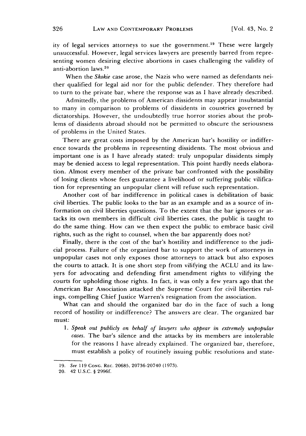ity of legal services attorneys to sue the government.<sup>19</sup> These were largely unsuccessful. However, legal services lawyers are presently barred from representing women desiring elective abortions in cases challenging the validity of anti-abortion laws. <sup>20</sup>

When the *Skokie* case arose, the Nazis who were named as defendants neither qualified for legal aid nor for the public defender. They therefore had to turn to the private bar, where the response was as I have already described.

Admittedly, the problems of American dissidents may appear insubstantial to many in comparison to problems of dissidents in countries governed by dictatorships. However, the undoubtedly true horror stories about the problems of dissidents abroad should not be permitted to obscure the seriousness of problems in the United States.

There are great costs imposed by the American bar's hostility or indifference towards the problems in representing dissidents. The most obvious and important one is as I have already stated: truly unpopular dissidents simply may be denied access to legal representation. This point hardly needs elaboration. Almost every member of the private bar confronted with the possibility of losing clients whose fees guarantee a livelihood or suffering public vilification for representing an unpopular client will refuse such representation.

Another cost of bar indifference in political cases is debilitation of basic civil liberties. The public looks to the bar as an example and as a source of information on civil liberties questions. To the extent that the bar ignores or attacks its own members in difficult civil liberties cases, the public is taught to do the same thing. How can we then expect the public to embrace basic civil rights, such as the right to counsel, when the bar apparently does not?

Finally, there is the cost of the bar's hostility and indifference to the judicial process. Failure of the organized bar to support the work of attorneys in unpopular cases not only exposes those attorneys to attack but also exposes the courts to attack. It is one short step from vilifying the ACLU and its lawyers for advocating and defending first amendment rights to vilifying the courts for upholding those rights. In fact, it was only a few years ago that the American Bar Association attacked the Supreme Court for civil liberties rulings, compelling Chief Justice Warren's resignation from the association.

What can and should the organized bar do in the face of such a long record of hostility or indifference? The answers are clear. The organized bar must:

1. *Speak out publicly on behalf of lawyers who appear in extremely unpopular cases.* The bar's silence and the attacks by its members are intolerable for the reasons I have already explained. The organized bar, therefore, must establish a policy of routinely issuing public resolutions and state-

<sup>19.</sup> See 119 **CONG.** REC. 20685, 20736-20740 (1973).

<sup>20. 42</sup> U.S.C. § 2996f.